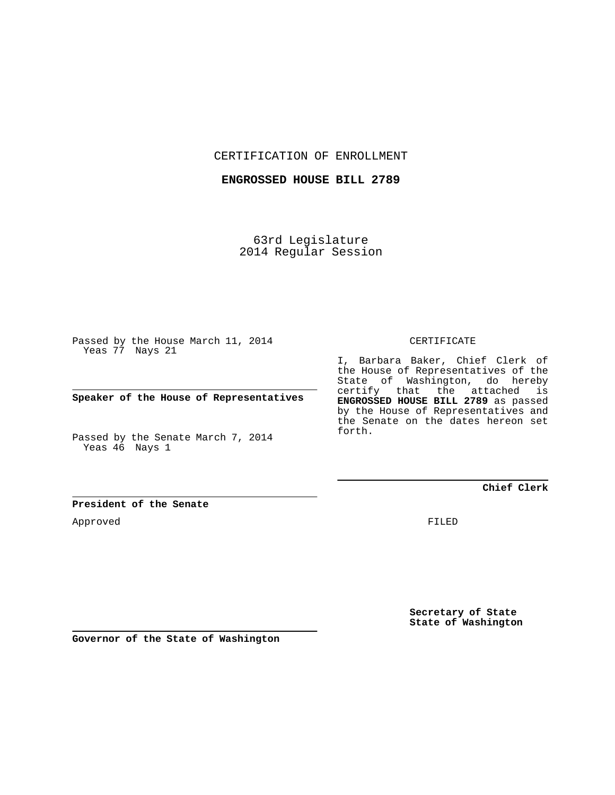CERTIFICATION OF ENROLLMENT

**ENGROSSED HOUSE BILL 2789**

63rd Legislature 2014 Regular Session

Passed by the House March 11, 2014 Yeas 77 Nays 21

**Speaker of the House of Representatives**

Passed by the Senate March 7, 2014 Yeas 46 Nays 1

**President of the Senate**

Approved

CERTIFICATE

I, Barbara Baker, Chief Clerk of the House of Representatives of the State of Washington, do hereby certify that the attached is **ENGROSSED HOUSE BILL 2789** as passed by the House of Representatives and the Senate on the dates hereon set forth.

**Chief Clerk**

FILED

**Secretary of State State of Washington**

**Governor of the State of Washington**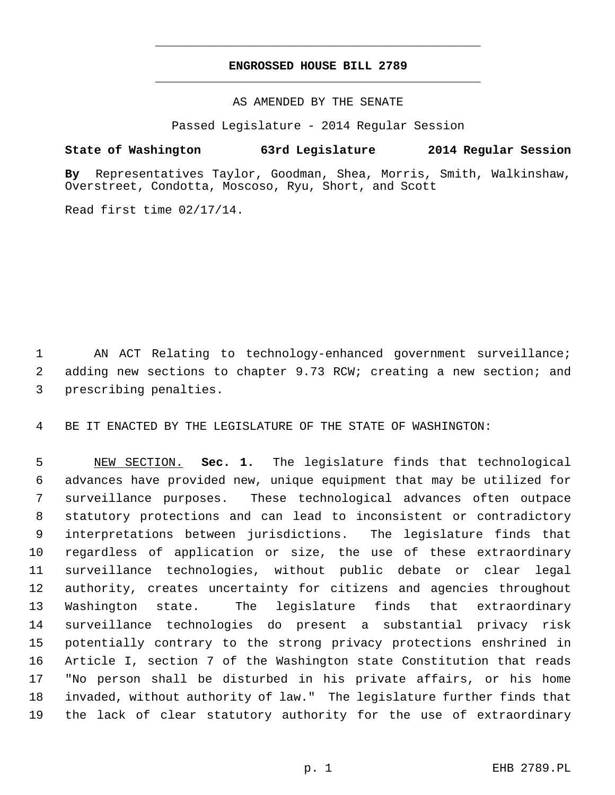## **ENGROSSED HOUSE BILL 2789** \_\_\_\_\_\_\_\_\_\_\_\_\_\_\_\_\_\_\_\_\_\_\_\_\_\_\_\_\_\_\_\_\_\_\_\_\_\_\_\_\_\_\_\_\_

\_\_\_\_\_\_\_\_\_\_\_\_\_\_\_\_\_\_\_\_\_\_\_\_\_\_\_\_\_\_\_\_\_\_\_\_\_\_\_\_\_\_\_\_\_

AS AMENDED BY THE SENATE

Passed Legislature - 2014 Regular Session

## **State of Washington 63rd Legislature 2014 Regular Session**

**By** Representatives Taylor, Goodman, Shea, Morris, Smith, Walkinshaw, Overstreet, Condotta, Moscoso, Ryu, Short, and Scott

Read first time 02/17/14.

 1 AN ACT Relating to technology-enhanced government surveillance; 2 adding new sections to chapter 9.73 RCW; creating a new section; and 3 prescribing penalties.

4 BE IT ENACTED BY THE LEGISLATURE OF THE STATE OF WASHINGTON:

 5 NEW SECTION. **Sec. 1.** The legislature finds that technological 6 advances have provided new, unique equipment that may be utilized for 7 surveillance purposes. These technological advances often outpace 8 statutory protections and can lead to inconsistent or contradictory 9 interpretations between jurisdictions. The legislature finds that 10 regardless of application or size, the use of these extraordinary 11 surveillance technologies, without public debate or clear legal 12 authority, creates uncertainty for citizens and agencies throughout 13 Washington state. The legislature finds that extraordinary 14 surveillance technologies do present a substantial privacy risk 15 potentially contrary to the strong privacy protections enshrined in 16 Article I, section 7 of the Washington state Constitution that reads 17 "No person shall be disturbed in his private affairs, or his home 18 invaded, without authority of law." The legislature further finds that 19 the lack of clear statutory authority for the use of extraordinary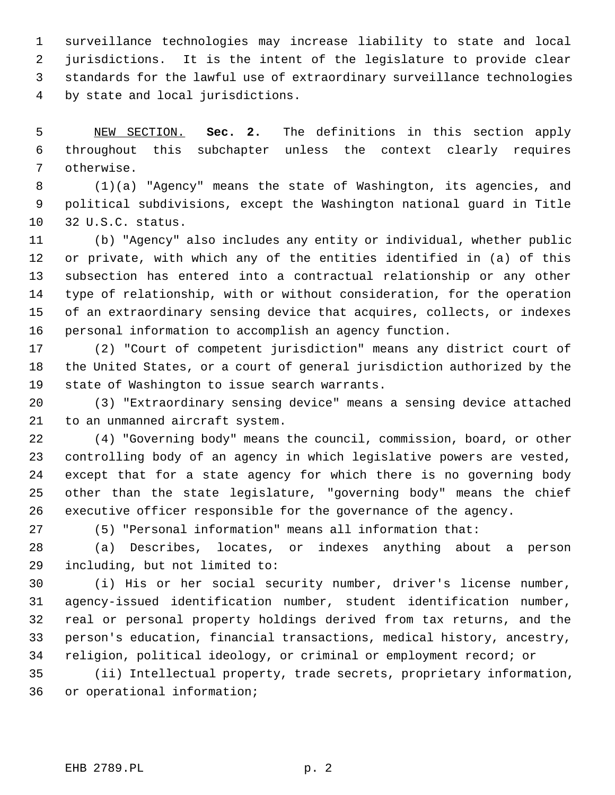1 surveillance technologies may increase liability to state and local 2 jurisdictions. It is the intent of the legislature to provide clear 3 standards for the lawful use of extraordinary surveillance technologies 4 by state and local jurisdictions.

 5 NEW SECTION. **Sec. 2.** The definitions in this section apply 6 throughout this subchapter unless the context clearly requires 7 otherwise.

 8 (1)(a) "Agency" means the state of Washington, its agencies, and 9 political subdivisions, except the Washington national guard in Title 10 32 U.S.C. status.

11 (b) "Agency" also includes any entity or individual, whether public 12 or private, with which any of the entities identified in (a) of this 13 subsection has entered into a contractual relationship or any other 14 type of relationship, with or without consideration, for the operation 15 of an extraordinary sensing device that acquires, collects, or indexes 16 personal information to accomplish an agency function.

17 (2) "Court of competent jurisdiction" means any district court of 18 the United States, or a court of general jurisdiction authorized by the 19 state of Washington to issue search warrants.

20 (3) "Extraordinary sensing device" means a sensing device attached 21 to an unmanned aircraft system.

22 (4) "Governing body" means the council, commission, board, or other 23 controlling body of an agency in which legislative powers are vested, 24 except that for a state agency for which there is no governing body 25 other than the state legislature, "governing body" means the chief 26 executive officer responsible for the governance of the agency.

27 (5) "Personal information" means all information that:

28 (a) Describes, locates, or indexes anything about a person 29 including, but not limited to:

30 (i) His or her social security number, driver's license number, 31 agency-issued identification number, student identification number, 32 real or personal property holdings derived from tax returns, and the 33 person's education, financial transactions, medical history, ancestry, 34 religion, political ideology, or criminal or employment record; or

35 (ii) Intellectual property, trade secrets, proprietary information, 36 or operational information;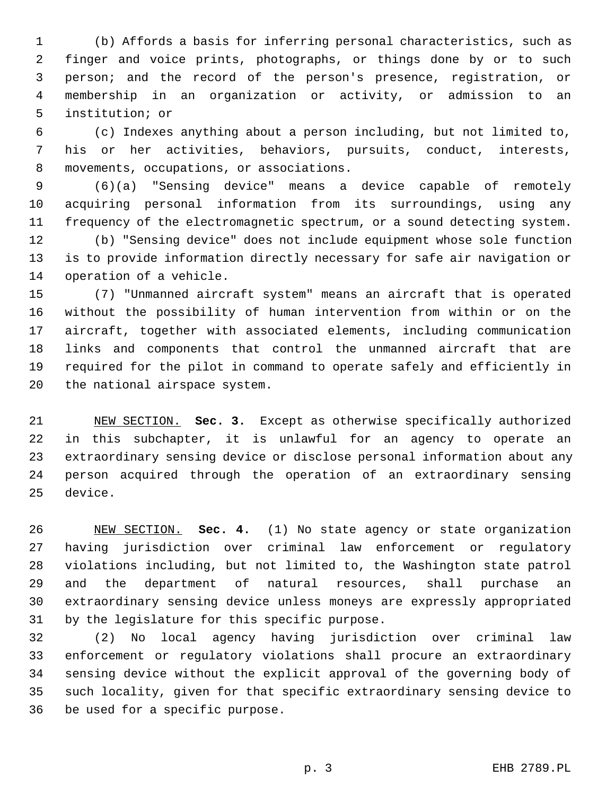1 (b) Affords a basis for inferring personal characteristics, such as 2 finger and voice prints, photographs, or things done by or to such 3 person; and the record of the person's presence, registration, or 4 membership in an organization or activity, or admission to an 5 institution; or

 6 (c) Indexes anything about a person including, but not limited to, 7 his or her activities, behaviors, pursuits, conduct, interests, 8 movements, occupations, or associations.

 9 (6)(a) "Sensing device" means a device capable of remotely 10 acquiring personal information from its surroundings, using any 11 frequency of the electromagnetic spectrum, or a sound detecting system.

12 (b) "Sensing device" does not include equipment whose sole function 13 is to provide information directly necessary for safe air navigation or 14 operation of a vehicle.

15 (7) "Unmanned aircraft system" means an aircraft that is operated 16 without the possibility of human intervention from within or on the 17 aircraft, together with associated elements, including communication 18 links and components that control the unmanned aircraft that are 19 required for the pilot in command to operate safely and efficiently in 20 the national airspace system.

21 NEW SECTION. **Sec. 3.** Except as otherwise specifically authorized 22 in this subchapter, it is unlawful for an agency to operate an 23 extraordinary sensing device or disclose personal information about any 24 person acquired through the operation of an extraordinary sensing 25 device.

26 NEW SECTION. **Sec. 4.** (1) No state agency or state organization 27 having jurisdiction over criminal law enforcement or regulatory 28 violations including, but not limited to, the Washington state patrol 29 and the department of natural resources, shall purchase an 30 extraordinary sensing device unless moneys are expressly appropriated 31 by the legislature for this specific purpose.

32 (2) No local agency having jurisdiction over criminal law 33 enforcement or regulatory violations shall procure an extraordinary 34 sensing device without the explicit approval of the governing body of 35 such locality, given for that specific extraordinary sensing device to 36 be used for a specific purpose.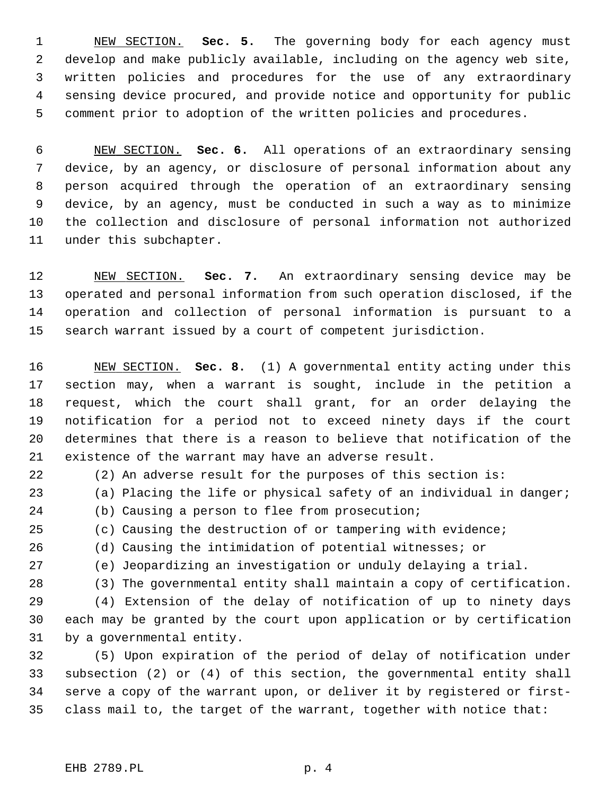1 NEW SECTION. **Sec. 5.** The governing body for each agency must 2 develop and make publicly available, including on the agency web site, 3 written policies and procedures for the use of any extraordinary 4 sensing device procured, and provide notice and opportunity for public 5 comment prior to adoption of the written policies and procedures.

 6 NEW SECTION. **Sec. 6.** All operations of an extraordinary sensing 7 device, by an agency, or disclosure of personal information about any 8 person acquired through the operation of an extraordinary sensing 9 device, by an agency, must be conducted in such a way as to minimize 10 the collection and disclosure of personal information not authorized 11 under this subchapter.

12 NEW SECTION. **Sec. 7.** An extraordinary sensing device may be 13 operated and personal information from such operation disclosed, if the 14 operation and collection of personal information is pursuant to a 15 search warrant issued by a court of competent jurisdiction.

16 NEW SECTION. **Sec. 8.** (1) A governmental entity acting under this 17 section may, when a warrant is sought, include in the petition a 18 request, which the court shall grant, for an order delaying the 19 notification for a period not to exceed ninety days if the court 20 determines that there is a reason to believe that notification of the 21 existence of the warrant may have an adverse result.

22 (2) An adverse result for the purposes of this section is:

- 23 (a) Placing the life or physical safety of an individual in danger;
- 24 (b) Causing a person to flee from prosecution;
- 25 (c) Causing the destruction of or tampering with evidence;
- 26 (d) Causing the intimidation of potential witnesses; or
- 
- 27 (e) Jeopardizing an investigation or unduly delaying a trial.
- 28 (3) The governmental entity shall maintain a copy of certification.

29 (4) Extension of the delay of notification of up to ninety days 30 each may be granted by the court upon application or by certification 31 by a governmental entity.

32 (5) Upon expiration of the period of delay of notification under 33 subsection (2) or (4) of this section, the governmental entity shall 34 serve a copy of the warrant upon, or deliver it by registered or first-35 class mail to, the target of the warrant, together with notice that: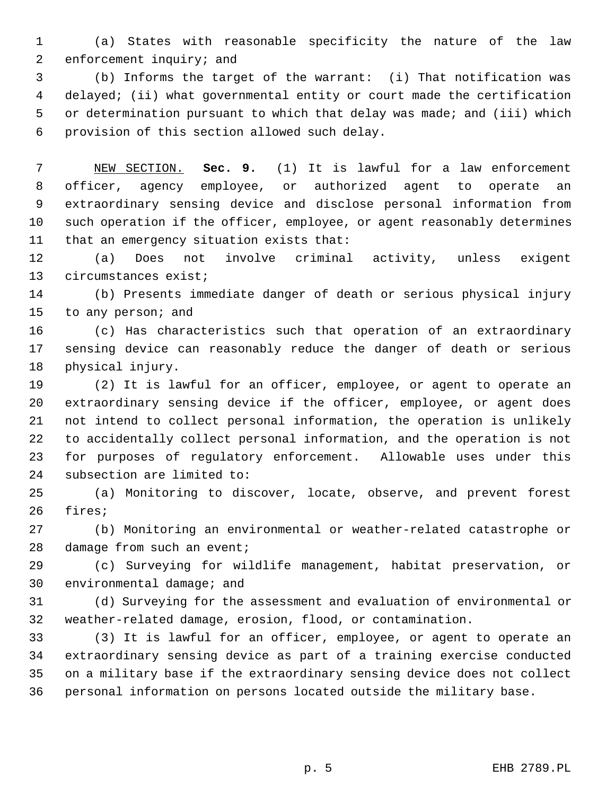1 (a) States with reasonable specificity the nature of the law 2 enforcement inquiry; and

 3 (b) Informs the target of the warrant: (i) That notification was 4 delayed; (ii) what governmental entity or court made the certification 5 or determination pursuant to which that delay was made; and (iii) which 6 provision of this section allowed such delay.

 7 NEW SECTION. **Sec. 9.** (1) It is lawful for a law enforcement 8 officer, agency employee, or authorized agent to operate an 9 extraordinary sensing device and disclose personal information from 10 such operation if the officer, employee, or agent reasonably determines 11 that an emergency situation exists that:

12 (a) Does not involve criminal activity, unless exigent 13 circumstances exist;

14 (b) Presents immediate danger of death or serious physical injury 15 to any person; and

16 (c) Has characteristics such that operation of an extraordinary 17 sensing device can reasonably reduce the danger of death or serious 18 physical injury.

19 (2) It is lawful for an officer, employee, or agent to operate an 20 extraordinary sensing device if the officer, employee, or agent does 21 not intend to collect personal information, the operation is unlikely 22 to accidentally collect personal information, and the operation is not 23 for purposes of regulatory enforcement. Allowable uses under this 24 subsection are limited to:

25 (a) Monitoring to discover, locate, observe, and prevent forest 26 fires;

27 (b) Monitoring an environmental or weather-related catastrophe or 28 damage from such an event;

29 (c) Surveying for wildlife management, habitat preservation, or 30 environmental damage; and

31 (d) Surveying for the assessment and evaluation of environmental or 32 weather-related damage, erosion, flood, or contamination.

33 (3) It is lawful for an officer, employee, or agent to operate an 34 extraordinary sensing device as part of a training exercise conducted 35 on a military base if the extraordinary sensing device does not collect 36 personal information on persons located outside the military base.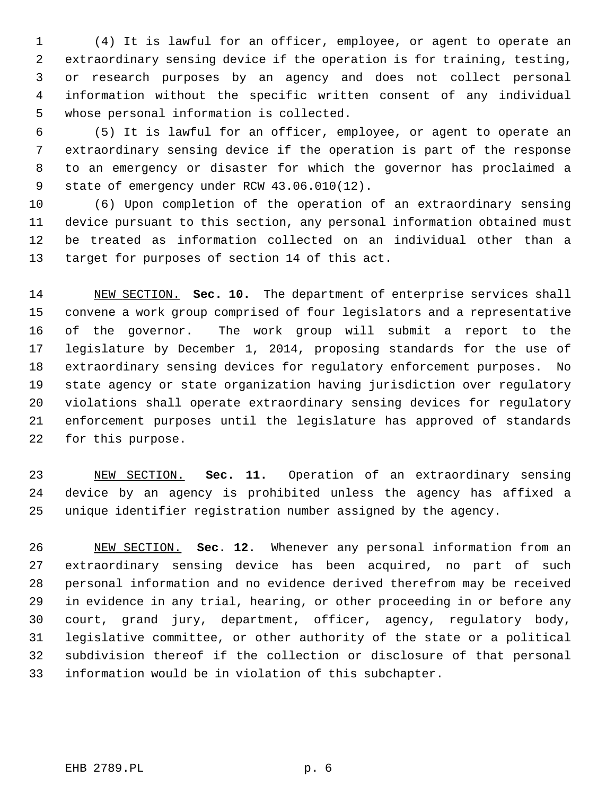1 (4) It is lawful for an officer, employee, or agent to operate an 2 extraordinary sensing device if the operation is for training, testing, 3 or research purposes by an agency and does not collect personal 4 information without the specific written consent of any individual 5 whose personal information is collected.

 6 (5) It is lawful for an officer, employee, or agent to operate an 7 extraordinary sensing device if the operation is part of the response 8 to an emergency or disaster for which the governor has proclaimed a 9 state of emergency under RCW 43.06.010(12).

10 (6) Upon completion of the operation of an extraordinary sensing 11 device pursuant to this section, any personal information obtained must 12 be treated as information collected on an individual other than a 13 target for purposes of section 14 of this act.

14 NEW SECTION. **Sec. 10.** The department of enterprise services shall 15 convene a work group comprised of four legislators and a representative 16 of the governor. The work group will submit a report to the 17 legislature by December 1, 2014, proposing standards for the use of 18 extraordinary sensing devices for regulatory enforcement purposes. No 19 state agency or state organization having jurisdiction over regulatory 20 violations shall operate extraordinary sensing devices for regulatory 21 enforcement purposes until the legislature has approved of standards 22 for this purpose.

23 NEW SECTION. **Sec. 11.** Operation of an extraordinary sensing 24 device by an agency is prohibited unless the agency has affixed a 25 unique identifier registration number assigned by the agency.

26 NEW SECTION. **Sec. 12.** Whenever any personal information from an 27 extraordinary sensing device has been acquired, no part of such 28 personal information and no evidence derived therefrom may be received 29 in evidence in any trial, hearing, or other proceeding in or before any 30 court, grand jury, department, officer, agency, regulatory body, 31 legislative committee, or other authority of the state or a political 32 subdivision thereof if the collection or disclosure of that personal 33 information would be in violation of this subchapter.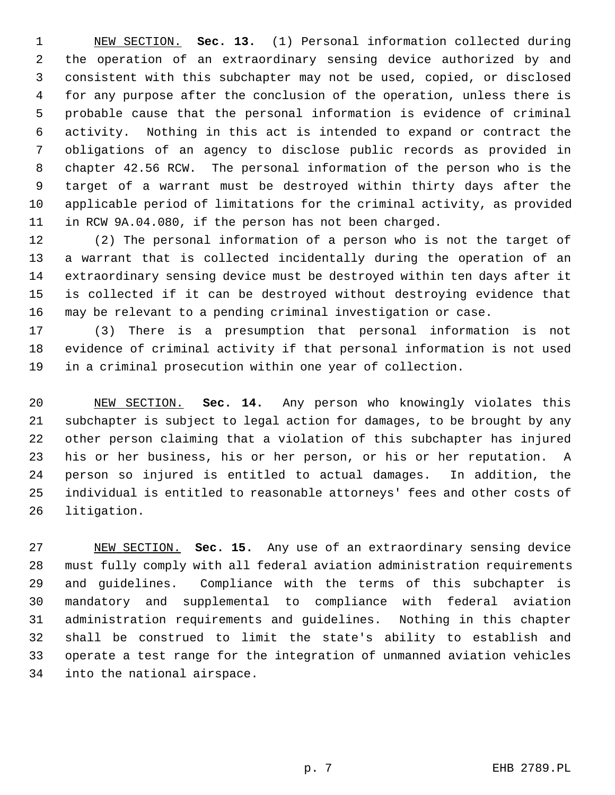1 NEW SECTION. **Sec. 13.** (1) Personal information collected during 2 the operation of an extraordinary sensing device authorized by and 3 consistent with this subchapter may not be used, copied, or disclosed 4 for any purpose after the conclusion of the operation, unless there is 5 probable cause that the personal information is evidence of criminal 6 activity. Nothing in this act is intended to expand or contract the 7 obligations of an agency to disclose public records as provided in 8 chapter 42.56 RCW. The personal information of the person who is the 9 target of a warrant must be destroyed within thirty days after the 10 applicable period of limitations for the criminal activity, as provided 11 in RCW 9A.04.080, if the person has not been charged.

12 (2) The personal information of a person who is not the target of 13 a warrant that is collected incidentally during the operation of an 14 extraordinary sensing device must be destroyed within ten days after it 15 is collected if it can be destroyed without destroying evidence that 16 may be relevant to a pending criminal investigation or case.

17 (3) There is a presumption that personal information is not 18 evidence of criminal activity if that personal information is not used 19 in a criminal prosecution within one year of collection.

20 NEW SECTION. **Sec. 14.** Any person who knowingly violates this 21 subchapter is subject to legal action for damages, to be brought by any 22 other person claiming that a violation of this subchapter has injured 23 his or her business, his or her person, or his or her reputation. A 24 person so injured is entitled to actual damages. In addition, the 25 individual is entitled to reasonable attorneys' fees and other costs of 26 litigation.

27 NEW SECTION. **Sec. 15.** Any use of an extraordinary sensing device 28 must fully comply with all federal aviation administration requirements 29 and guidelines. Compliance with the terms of this subchapter is 30 mandatory and supplemental to compliance with federal aviation 31 administration requirements and guidelines. Nothing in this chapter 32 shall be construed to limit the state's ability to establish and 33 operate a test range for the integration of unmanned aviation vehicles 34 into the national airspace.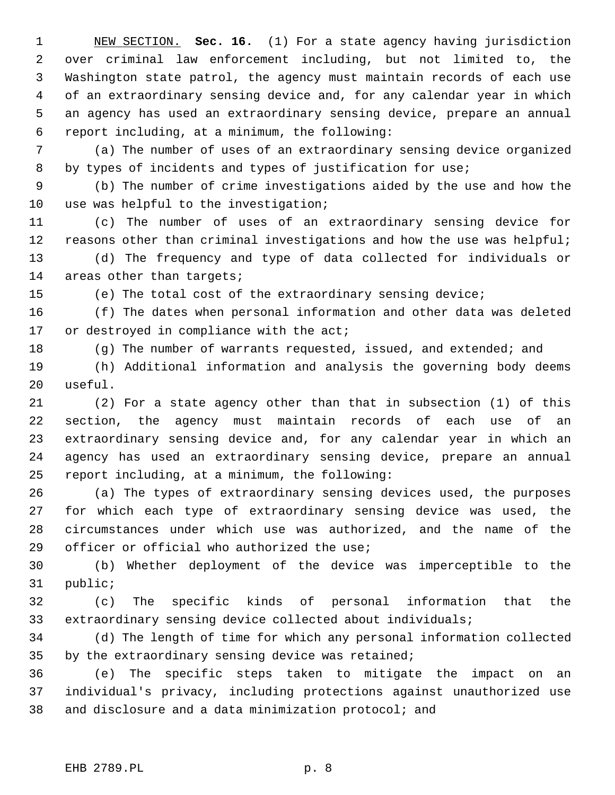1 NEW SECTION. **Sec. 16.** (1) For a state agency having jurisdiction 2 over criminal law enforcement including, but not limited to, the 3 Washington state patrol, the agency must maintain records of each use 4 of an extraordinary sensing device and, for any calendar year in which 5 an agency has used an extraordinary sensing device, prepare an annual 6 report including, at a minimum, the following:

 7 (a) The number of uses of an extraordinary sensing device organized 8 by types of incidents and types of justification for use;

 9 (b) The number of crime investigations aided by the use and how the 10 use was helpful to the investigation;

11 (c) The number of uses of an extraordinary sensing device for 12 reasons other than criminal investigations and how the use was helpful; 13 (d) The frequency and type of data collected for individuals or 14 areas other than targets;

15 (e) The total cost of the extraordinary sensing device;

16 (f) The dates when personal information and other data was deleted 17 or destroyed in compliance with the act;

18 (g) The number of warrants requested, issued, and extended; and

19 (h) Additional information and analysis the governing body deems 20 useful.

21 (2) For a state agency other than that in subsection (1) of this 22 section, the agency must maintain records of each use of an 23 extraordinary sensing device and, for any calendar year in which an 24 agency has used an extraordinary sensing device, prepare an annual 25 report including, at a minimum, the following:

26 (a) The types of extraordinary sensing devices used, the purposes 27 for which each type of extraordinary sensing device was used, the 28 circumstances under which use was authorized, and the name of the 29 officer or official who authorized the use;

30 (b) Whether deployment of the device was imperceptible to the 31 public;

32 (c) The specific kinds of personal information that the 33 extraordinary sensing device collected about individuals;

34 (d) The length of time for which any personal information collected 35 by the extraordinary sensing device was retained;

36 (e) The specific steps taken to mitigate the impact on an 37 individual's privacy, including protections against unauthorized use 38 and disclosure and a data minimization protocol; and